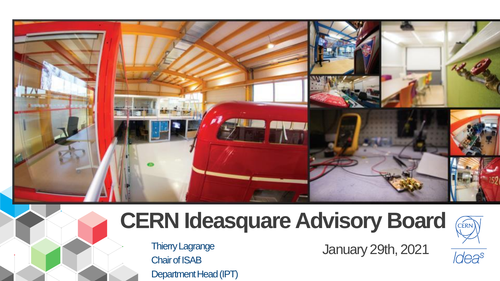

# **CERN Ideasquare Advisory Board**



Chair of ISAB Department Head (IPT)

Thierry Lagrange January 29th, 2021

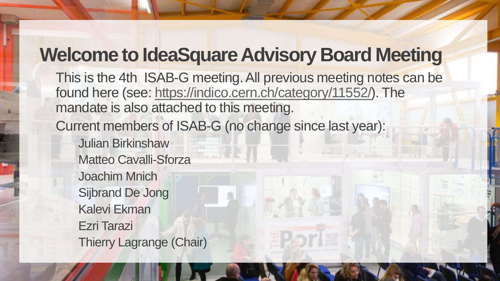## **Welcome to IdeaSquare Advisory Board Meeting**

This is the 4th ISAB-G meeting. All previous meeting notes can be found here (see: [https://indico.cern.ch/category/11552/\)](https://indico.cern.ch/category/11552/). The mandate is also attached to this meeting.

Current members of ISAB-G (no change since last year):

Julian Birkinshaw Matteo Cavalli-Sforza Joachim Mnich Sijbrand De Jong Kalevi Ekman Ezri Tarazi Thierry Lagrange (Chair)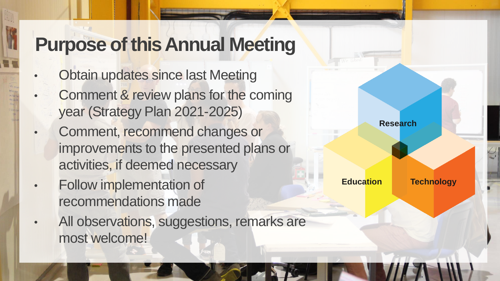# **Purpose of this Annual Meeting**

- **Obtain updates since last Meeting**
- Comment & review plans for the coming year (Strategy Plan 2021-2025)
- Comment, recommend changes or improvements to the presented plans or activities, if deemed necessary
- Follow implementation of recommendations made
- All observations, suggestions, remarks are most welcome!

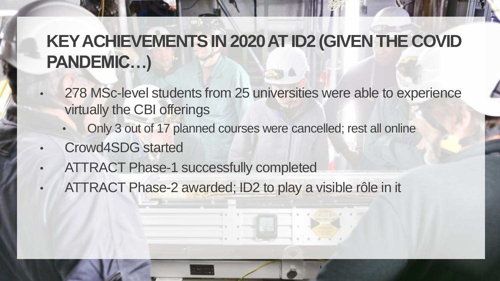## **KEY ACHIEVEMENTS IN 2020 AT ID2 (GIVEN THE COVID PANDEMIC…)**

- 278 MSc-level students from 25 universities were able to experience virtually the CBI offerings
	- Only 3 out of 17 planned courses were cancelled; rest all online • Crowd4SDG started
- ATTRACT Phase-1 successfully completed
- ATTRACT Phase-2 awarded; ID2 to play a visible rôle in it